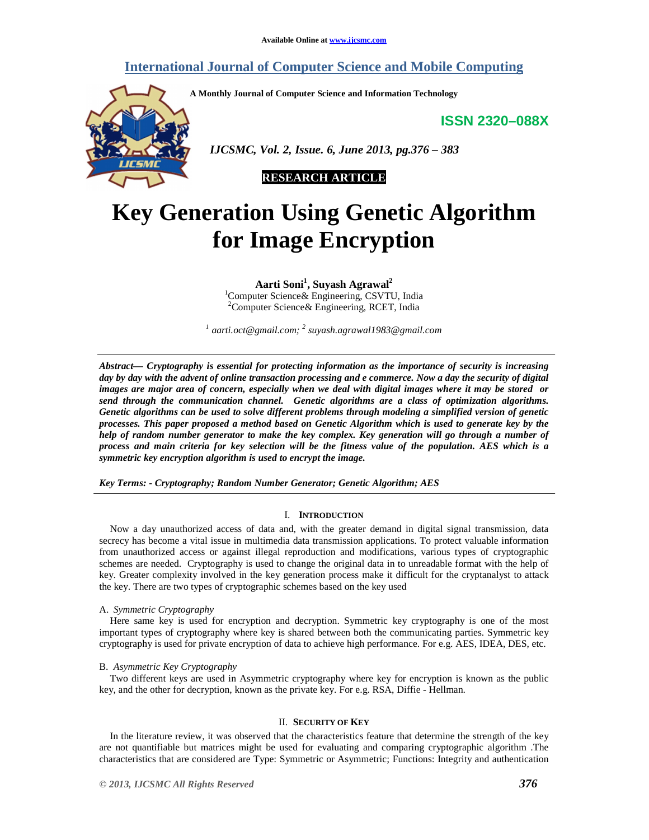# **International Journal of Computer Science and Mobile Computing**

**A Monthly Journal of Computer Science and Information Technology** 

**ISSN 2320–088X**



 *IJCSMC, Vol. 2, Issue. 6, June 2013, pg.376 – 383* 

**RESEARCH ARTICLE** 

# **Key Generation Using Genetic Algorithm for Image Encryption**

**Aarti Soni<sup>1</sup> , Suyash Agrawal<sup>2</sup>**

<sup>1</sup>Computer Science & Engineering, CSVTU, India <sup>2</sup>Computer Science & Engineering, RCET, India

<sup>1</sup> aarti.oct@gmail.com; <sup>2</sup> suyash.agrawal1983@gmail.com

*Abstract— Cryptography is essential for protecting information as the importance of security is increasing day by day with the advent of online transaction processing and e commerce. Now a day the security of digital images are major area of concern, especially when we deal with digital images where it may be stored or send through the communication channel. Genetic algorithms are a class of optimization algorithms. Genetic algorithms can be used to solve different problems through modeling a simplified version of genetic processes. This paper proposed a method based on Genetic Algorithm which is used to generate key by the help of random number generator to make the key complex. Key generation will go through a number of process and main criteria for key selection will be the fitness value of the population. AES which is a symmetric key encryption algorithm is used to encrypt the image.* 

*Key Terms: - Cryptography; Random Number Generator; Genetic Algorithm; AES* 

# I. **INTRODUCTION**

Now a day unauthorized access of data and, with the greater demand in digital signal transmission, data secrecy has become a vital issue in multimedia data transmission applications. To protect valuable information from unauthorized access or against illegal reproduction and modifications, various types of cryptographic schemes are needed. Cryptography is used to change the original data in to unreadable format with the help of key. Greater complexity involved in the key generation process make it difficult for the cryptanalyst to attack the key. There are two types of cryptographic schemes based on the key used

# A. *Symmetric Cryptography*

Here same key is used for encryption and decryption. Symmetric key cryptography is one of the most important types of cryptography where key is shared between both the communicating parties. Symmetric key cryptography is used for private encryption of data to achieve high performance. For e.g. AES, IDEA, DES, etc.

#### B. *Asymmetric Key Cryptography*

Two different keys are used in Asymmetric cryptography where key for encryption is known as the public key, and the other for decryption, known as the private key. For e.g. RSA, Diffie - Hellman.

# II. **SECURITY OF KEY**

In the literature review, it was observed that the characteristics feature that determine the strength of the key are not quantifiable but matrices might be used for evaluating and comparing cryptographic algorithm .The characteristics that are considered are Type: Symmetric or Asymmetric; Functions: Integrity and authentication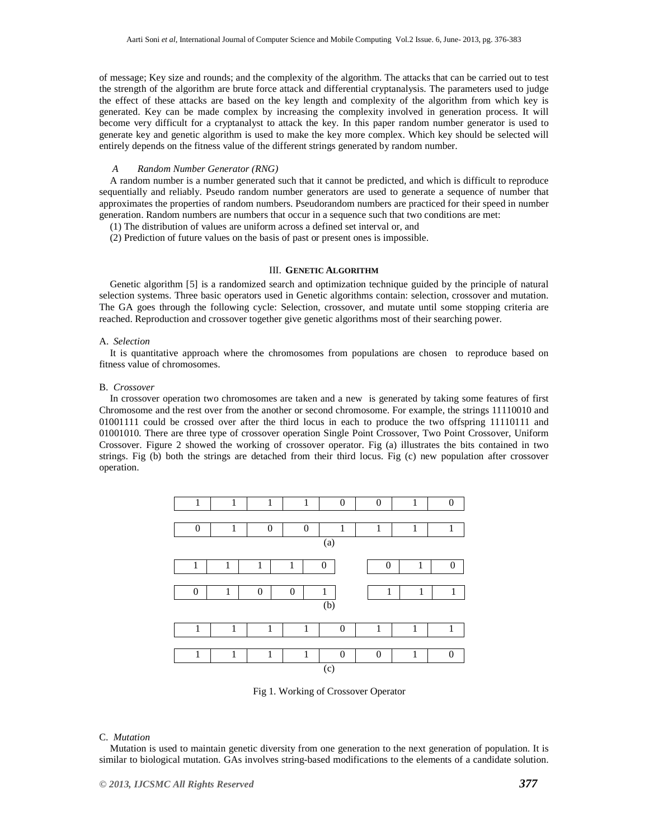of message; Key size and rounds; and the complexity of the algorithm. The attacks that can be carried out to test the strength of the algorithm are brute force attack and differential cryptanalysis. The parameters used to judge the effect of these attacks are based on the key length and complexity of the algorithm from which key is generated. Key can be made complex by increasing the complexity involved in generation process. It will become very difficult for a cryptanalyst to attack the key. In this paper random number generator is used to generate key and genetic algorithm is used to make the key more complex. Which key should be selected will entirely depends on the fitness value of the different strings generated by random number.

# *A Random Number Generator (RNG)*

A random number is a number generated such that it cannot be predicted, and which is difficult to reproduce sequentially and reliably. Pseudo random number generators are used to generate a sequence of number that approximates the properties of random numbers. Pseudorandom numbers are practiced for their speed in number generation. Random numbers are numbers that occur in a sequence such that two conditions are met:

- (1) The distribution of values are uniform across a defined set interval or, and
- (2) Prediction of future values on the basis of past or present ones is impossible.

#### III. **GENETIC ALGORITHM**

Genetic algorithm [5] is a randomized search and optimization technique guided by the principle of natural selection systems. Three basic operators used in Genetic algorithms contain: selection, crossover and mutation. The GA goes through the following cycle: Selection, crossover, and mutate until some stopping criteria are reached. Reproduction and crossover together give genetic algorithms most of their searching power.

#### A. *Selection*

It is quantitative approach where the chromosomes from populations are chosen to reproduce based on fitness value of chromosomes.

#### B. *Crossover*

In crossover operation two chromosomes are taken and a new is generated by taking some features of first Chromosome and the rest over from the another or second chromosome. For example, the strings 11110010 and 01001111 could be crossed over after the third locus in each to produce the two offspring 11110111 and 01001010. There are three type of crossover operation Single Point Crossover, Two Point Crossover, Uniform Crossover. Figure 2 showed the working of crossover operator. Fig (a) illustrates the bits contained in two strings. Fig (b) both the strings are detached from their third locus. Fig (c) new population after crossover operation.



Fig 1. Working of Crossover Operator

# C. *Mutation*

Mutation is used to maintain genetic diversity from one generation to the next generation of population. It is similar to biological mutation. GAs involves string-based modifications to the elements of a candidate solution.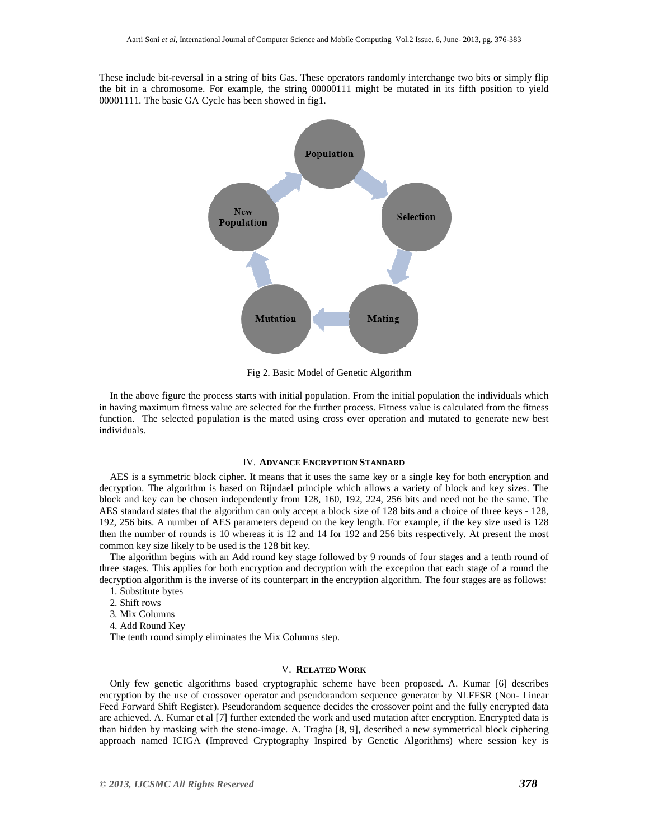These include bit-reversal in a string of bits Gas. These operators randomly interchange two bits or simply flip the bit in a chromosome. For example, the string 00000111 might be mutated in its fifth position to yield 00001111. The basic GA Cycle has been showed in fig1.



Fig 2. Basic Model of Genetic Algorithm

In the above figure the process starts with initial population. From the initial population the individuals which in having maximum fitness value are selected for the further process. Fitness value is calculated from the fitness function. The selected population is the mated using cross over operation and mutated to generate new best individuals.

## IV. **ADVANCE ENCRYPTION STANDARD**

AES is a symmetric block cipher. It means that it uses the same key or a single key for both encryption and decryption. The algorithm is based on Rijndael principle which allows a variety of block and key sizes. The block and key can be chosen independently from 128, 160, 192, 224, 256 bits and need not be the same. The AES standard states that the algorithm can only accept a block size of 128 bits and a choice of three keys - 128, 192, 256 bits. A number of AES parameters depend on the key length. For example, if the key size used is 128 then the number of rounds is 10 whereas it is 12 and 14 for 192 and 256 bits respectively. At present the most common key size likely to be used is the 128 bit key.

The algorithm begins with an Add round key stage followed by 9 rounds of four stages and a tenth round of three stages. This applies for both encryption and decryption with the exception that each stage of a round the decryption algorithm is the inverse of its counterpart in the encryption algorithm. The four stages are as follows:

- 1. Substitute bytes
- 2. Shift rows
- 3. Mix Columns
- 4. Add Round Key

The tenth round simply eliminates the Mix Columns step.

#### V. **RELATED WORK**

Only few genetic algorithms based cryptographic scheme have been proposed. A. Kumar [6] describes encryption by the use of crossover operator and pseudorandom sequence generator by NLFFSR (Non- Linear Feed Forward Shift Register). Pseudorandom sequence decides the crossover point and the fully encrypted data are achieved. A. Kumar et al [7] further extended the work and used mutation after encryption. Encrypted data is than hidden by masking with the steno-image. A. Tragha [8, 9], described a new symmetrical block ciphering approach named ICIGA (Improved Cryptography Inspired by Genetic Algorithms) where session key is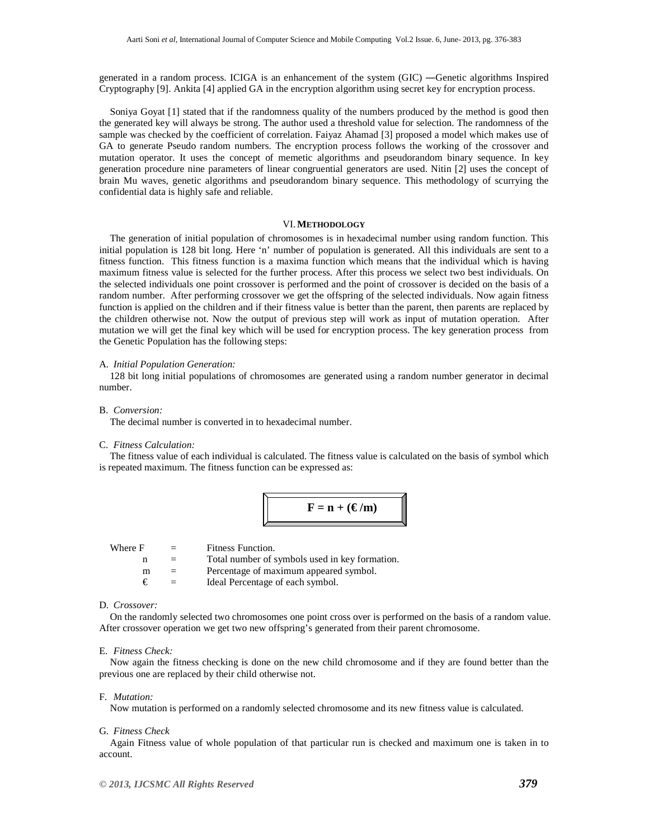generated in a random process. ICIGA is an enhancement of the system (GIC) ―Genetic algorithms Inspired Cryptography [9]. Ankita [4] applied GA in the encryption algorithm using secret key for encryption process.

Soniya Goyat [1] stated that if the randomness quality of the numbers produced by the method is good then the generated key will always be strong. The author used a threshold value for selection. The randomness of the sample was checked by the coefficient of correlation. Faiyaz Ahamad [3] proposed a model which makes use of GA to generate Pseudo random numbers. The encryption process follows the working of the crossover and mutation operator. It uses the concept of memetic algorithms and pseudorandom binary sequence. In key generation procedure nine parameters of linear congruential generators are used. Nitin [2] uses the concept of brain Mu waves, genetic algorithms and pseudorandom binary sequence. This methodology of scurrying the confidential data is highly safe and reliable.

#### VI.**METHODOLOGY**

The generation of initial population of chromosomes is in hexadecimal number using random function. This initial population is 128 bit long. Here 'n' number of population is generated. All this individuals are sent to a fitness function. This fitness function is a maxima function which means that the individual which is having maximum fitness value is selected for the further process. After this process we select two best individuals. On the selected individuals one point crossover is performed and the point of crossover is decided on the basis of a random number. After performing crossover we get the offspring of the selected individuals. Now again fitness function is applied on the children and if their fitness value is better than the parent, then parents are replaced by the children otherwise not. Now the output of previous step will work as input of mutation operation. After mutation we will get the final key which will be used for encryption process. The key generation process from the Genetic Population has the following steps:

#### A. *Initial Population Generation:*

128 bit long initial populations of chromosomes are generated using a random number generator in decimal number.

#### B. *Conversion:*

The decimal number is converted in to hexadecimal number.

# C. *Fitness Calculation:*

The fitness value of each individual is calculated. The fitness value is calculated on the basis of symbol which is repeated maximum. The fitness function can be expressed as:

$$
\mathbf{F} = \mathbf{n} + (\mathbf{E}/\mathbf{m})
$$

| Where F | $=$ | Fitness Function.                              |
|---------|-----|------------------------------------------------|
|         | $=$ | Total number of symbols used in key formation. |
| m       | $=$ | Percentage of maximum appeared symbol.         |
| €       | $=$ | Ideal Percentage of each symbol.               |
|         |     |                                                |

# D. *Crossover:*

On the randomly selected two chromosomes one point cross over is performed on the basis of a random value. After crossover operation we get two new offspring's generated from their parent chromosome.

#### E. *Fitness Check:*

Now again the fitness checking is done on the new child chromosome and if they are found better than the previous one are replaced by their child otherwise not.

#### F. *Mutation:*

Now mutation is performed on a randomly selected chromosome and its new fitness value is calculated.

#### G. *Fitness Check*

Again Fitness value of whole population of that particular run is checked and maximum one is taken in to account.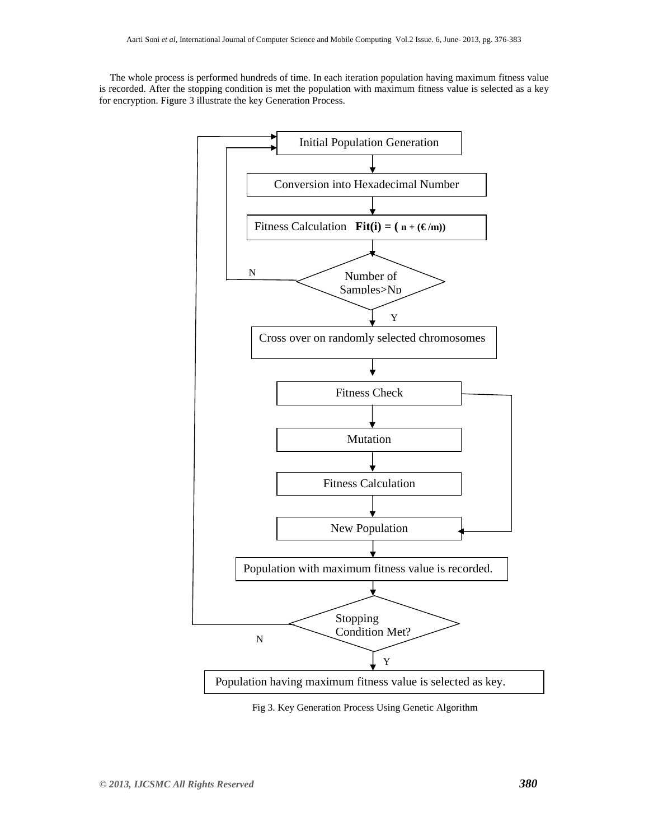The whole process is performed hundreds of time. In each iteration population having maximum fitness value is recorded. After the stopping condition is met the population with maximum fitness value is selected as a key for encryption. Figure 3 illustrate the key Generation Process.



Fig 3. Key Generation Process Using Genetic Algorithm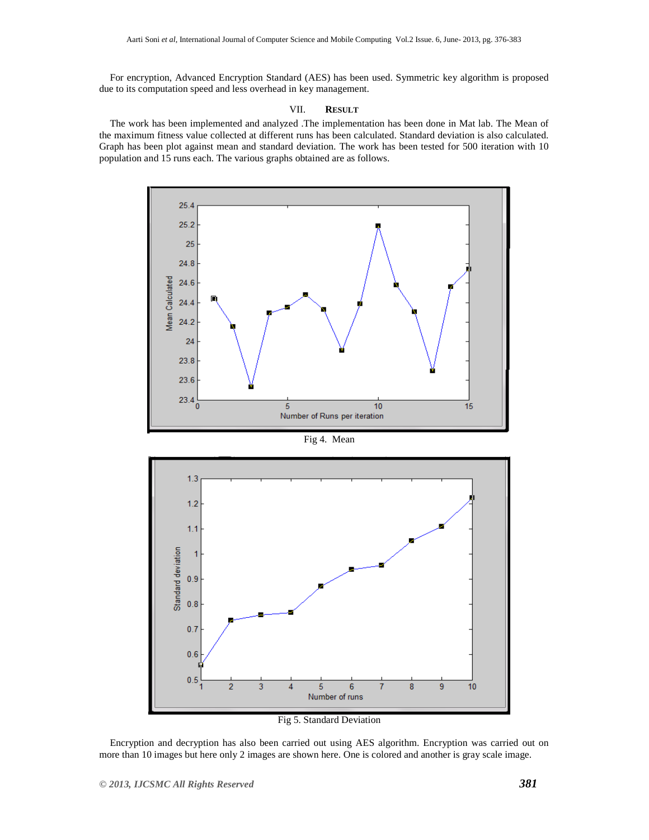For encryption, Advanced Encryption Standard (AES) has been used. Symmetric key algorithm is proposed due to its computation speed and less overhead in key management.

#### VII. **RESULT**

The work has been implemented and analyzed .The implementation has been done in Mat lab. The Mean of the maximum fitness value collected at different runs has been calculated. Standard deviation is also calculated. Graph has been plot against mean and standard deviation. The work has been tested for 500 iteration with 10 population and 15 runs each. The various graphs obtained are as follows.



Fig 4. Mean



Fig 5. Standard Deviation

Encryption and decryption has also been carried out using AES algorithm. Encryption was carried out on more than 10 images but here only 2 images are shown here. One is colored and another is gray scale image.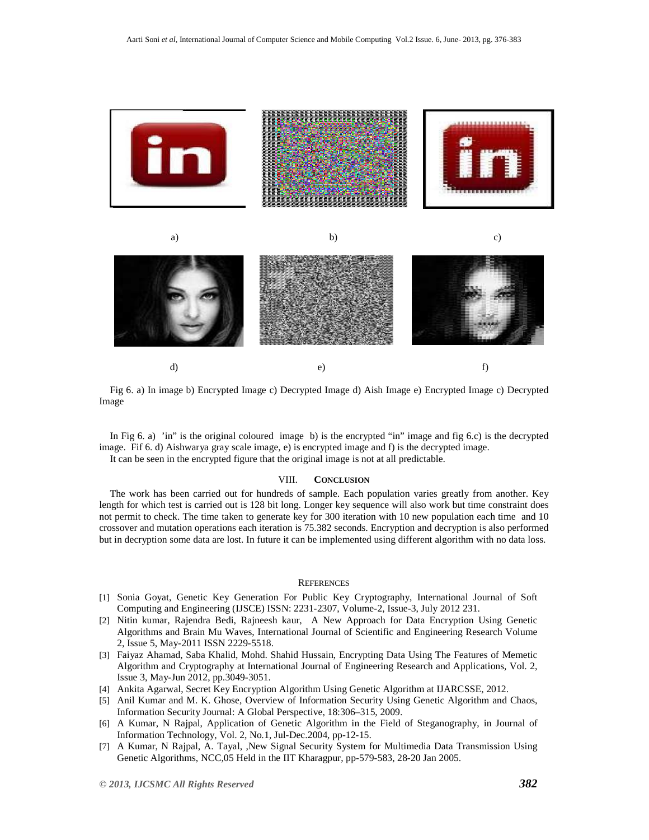



Fig 6. a) In image b) Encrypted Image c) Decrypted Image d) Aish Image e) Encrypted Image c) Decrypted Image

In Fig 6. a) 'in" is the original coloured image b) is the encrypted "in" image and fig 6.c) is the decrypted image. Fif 6. d) Aishwarya gray scale image, e) is encrypted image and f) is the decrypted image.

It can be seen in the encrypted figure that the original image is not at all predictable.

# VIII. **CONCLUSION**

The work has been carried out for hundreds of sample. Each population varies greatly from another. Key length for which test is carried out is 128 bit long. Longer key sequence will also work but time constraint does not permit to check. The time taken to generate key for 300 iteration with 10 new population each time and 10 crossover and mutation operations each iteration is 75.382 seconds. Encryption and decryption is also performed but in decryption some data are lost. In future it can be implemented using different algorithm with no data loss.

# **REFERENCES**

- [1] Sonia Goyat, Genetic Key Generation For Public Key Cryptography, International Journal of Soft Computing and Engineering (IJSCE) ISSN: 2231-2307, Volume-2, Issue-3, July 2012 231.
- [2] Nitin kumar, Rajendra Bedi, Rajneesh kaur, A New Approach for Data Encryption Using Genetic Algorithms and Brain Mu Waves, International Journal of Scientific and Engineering Research Volume 2, Issue 5, May-2011 ISSN 2229-5518.
- [3] Faiyaz Ahamad, Saba Khalid, Mohd. Shahid Hussain, Encrypting Data Using The Features of Memetic Algorithm and Cryptography at International Journal of Engineering Research and Applications, Vol. 2, Issue 3, May-Jun 2012, pp.3049-3051.
- [4] Ankita Agarwal, Secret Key Encryption Algorithm Using Genetic Algorithm at IJARCSSE, 2012.
- [5] Anil Kumar and M. K. Ghose, Overview of Information Security Using Genetic Algorithm and Chaos, Information Security Journal: A Global Perspective, 18:306–315, 2009.
- [6] A Kumar, N Rajpal, Application of Genetic Algorithm in the Field of Steganography, in Journal of Information Technology, Vol. 2, No.1, Jul-Dec.2004, pp-12-15.
- [7] A Kumar, N Rajpal, A. Tayal, ,New Signal Security System for Multimedia Data Transmission Using Genetic Algorithms, NCC,05 Held in the IIT Kharagpur, pp-579-583, 28-20 Jan 2005.